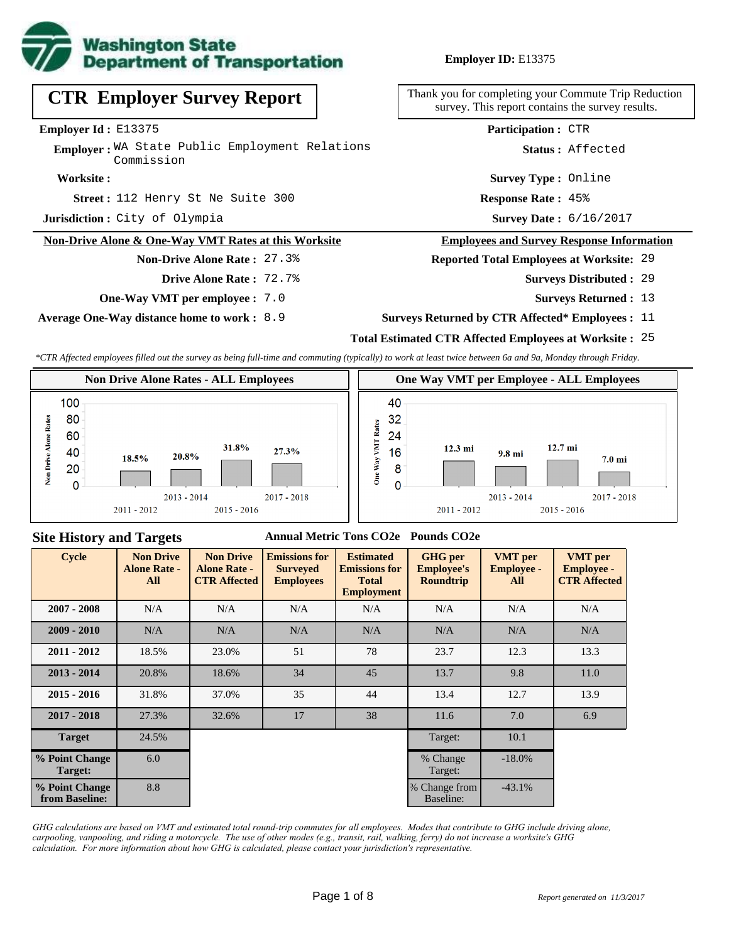

## **Employer ID:** E13375

**CTR Employer Survey Report**

**Employer Id :** E13375

Employer: WA State Public Employment Relations Commission

#### **Worksite :**

**Street:** 112 Henry St Ne Suite 300 **Response Rate:** 

**Jurisdiction :** City of Olympia

#### **Non-Drive Alone & One-Way VMT Rates at this Worksite**

### **Non-Drive Alone Rate :** 27.3%

- **Drive Alone Rate :** 72.7%
- **One-Way VMT per employee :** 7.0

**Average One-Way distance home to work :** 8.9

Thank you for completing your Commute Trip Reduction survey. This report contains the survey results.

**Participation :** CTR

**Status :** Affected

**Survey Type :** Online

**Response Rate: 45%** 

Survey Date: 6/16/2017

#### **Employees and Survey Response Information**

#### **Reported Total Employees at Worksite:** 29

- 29 **Surveys Distributed :**
	- **Surveys Returned :** 13
- **Surveys Returned by CTR Affected\* Employees :** 11

## **Total Estimated CTR Affected Employees at Worksite :** 25

*\*CTR Affected employees filled out the survey as being full-time and commuting (typically) to work at least twice between 6a and 9a, Monday through Friday.*





#### **Site History and Targets**

#### **Annual Metric Tons CO2e Pounds CO2e**

| <b>Cycle</b>                     | <b>Non Drive</b><br><b>Alone Rate -</b><br>All | <b>Non Drive</b><br><b>Alone Rate -</b><br><b>CTR Affected</b> | <b>Emissions for</b><br><b>Surveyed</b><br><b>Employees</b> | <b>Estimated</b><br><b>Emissions for</b><br><b>Total</b><br><b>Employment</b> | <b>GHG</b> per<br><b>Employee's</b><br><b>Roundtrip</b> | <b>VMT</b> per<br><b>Employee -</b><br>All | <b>VMT</b> per<br><b>Employee -</b><br><b>CTR Affected</b> |
|----------------------------------|------------------------------------------------|----------------------------------------------------------------|-------------------------------------------------------------|-------------------------------------------------------------------------------|---------------------------------------------------------|--------------------------------------------|------------------------------------------------------------|
| $2007 - 2008$                    | N/A                                            | N/A                                                            | N/A                                                         |                                                                               | N/A                                                     | N/A                                        | N/A                                                        |
| $2009 - 2010$                    | N/A                                            | N/A                                                            | N/A                                                         | N/A                                                                           | N/A                                                     | N/A                                        | N/A                                                        |
| $2011 - 2012$                    | 18.5%                                          | 23.0%                                                          | 51                                                          | 78                                                                            | 23.7                                                    | 12.3                                       | 13.3                                                       |
| $2013 - 2014$                    | 20.8%                                          | 18.6%                                                          | 34                                                          | 45                                                                            | 13.7                                                    | 9.8                                        | 11.0                                                       |
| $2015 - 2016$                    | 31.8%                                          | 37.0%                                                          | 35                                                          | 44                                                                            | 13.4                                                    | 12.7                                       | 13.9                                                       |
| $2017 - 2018$                    | 27.3%                                          | 32.6%                                                          | 17                                                          | 38                                                                            | 11.6                                                    | 7.0                                        | 6.9                                                        |
| <b>Target</b>                    | 24.5%                                          |                                                                |                                                             |                                                                               | Target:                                                 | 10.1                                       |                                                            |
| % Point Change<br>Target:        | 6.0                                            |                                                                |                                                             |                                                                               | % Change<br>Target:                                     | $-18.0\%$                                  |                                                            |
| % Point Change<br>from Baseline: | 8.8                                            |                                                                |                                                             |                                                                               | % Change from<br>Baseline:                              | $-43.1%$                                   |                                                            |

*GHG calculations are based on VMT and estimated total round-trip commutes for all employees. Modes that contribute to GHG include driving alone, carpooling, vanpooling, and riding a motorcycle. The use of other modes (e.g., transit, rail, walking, ferry) do not increase a worksite's GHG calculation. For more information about how GHG is calculated, please contact your jurisdiction's representative.*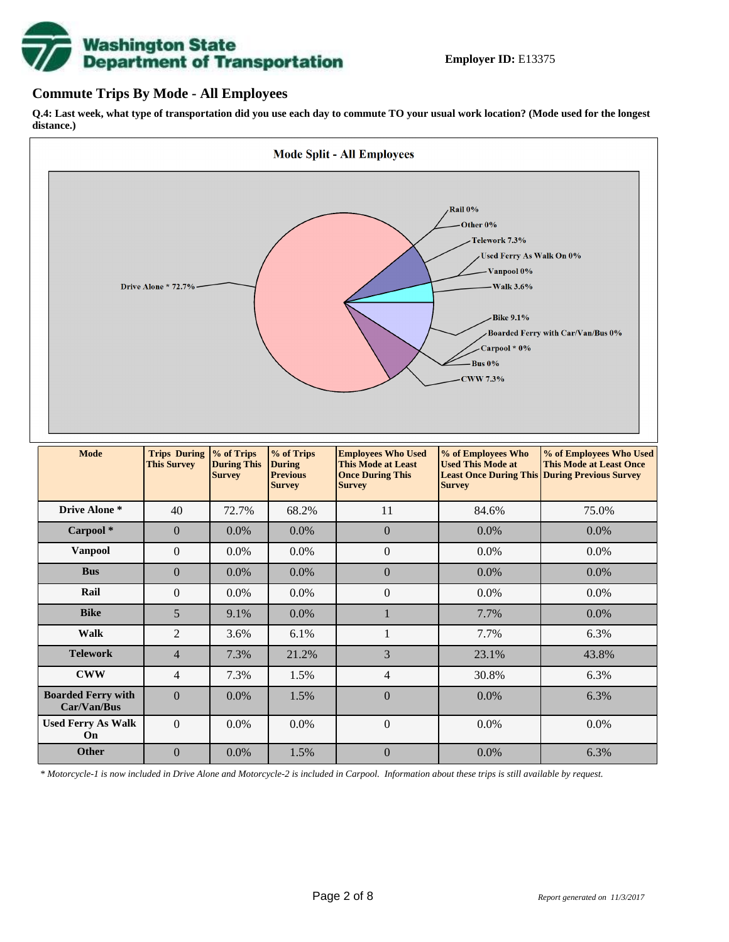# **Washington State<br>Department of Transportation**

## **Commute Trips By Mode - All Employees**

**Q.4: Last week, what type of transportation did you use each day to commute TO your usual work location? (Mode used for the longest distance.)**



*\* Motorcycle-1 is now included in Drive Alone and Motorcycle-2 is included in Carpool. Information about these trips is still available by request.*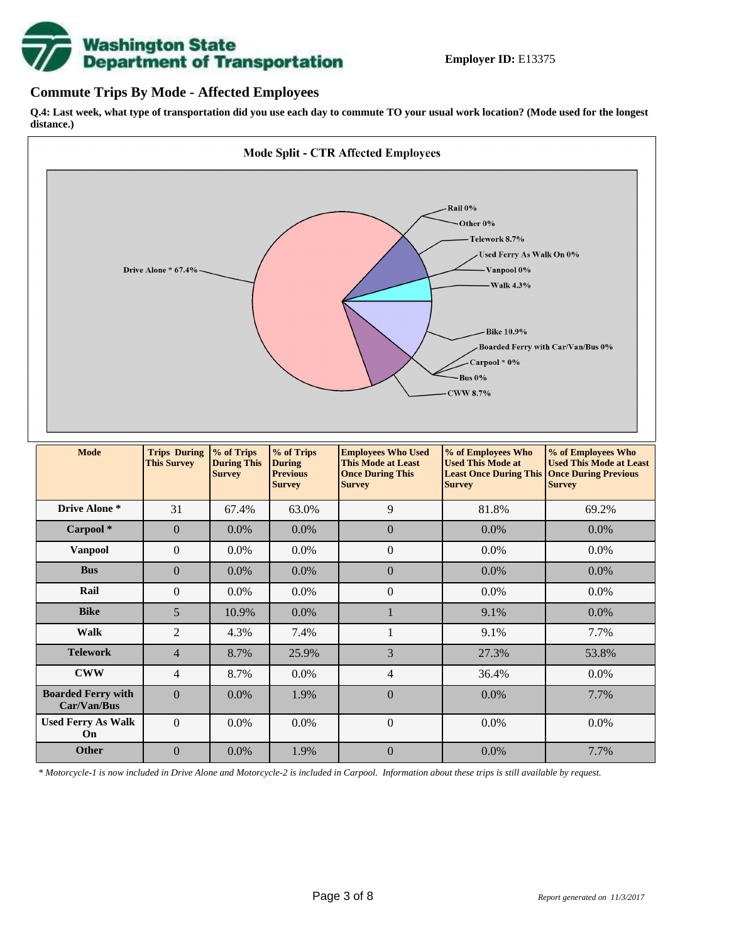

## **Commute Trips By Mode - Affected Employees**

**Q.4: Last week, what type of transportation did you use each day to commute TO your usual work location? (Mode used for the longest distance.)**



*\* Motorcycle-1 is now included in Drive Alone and Motorcycle-2 is included in Carpool. Information about these trips is still available by request.*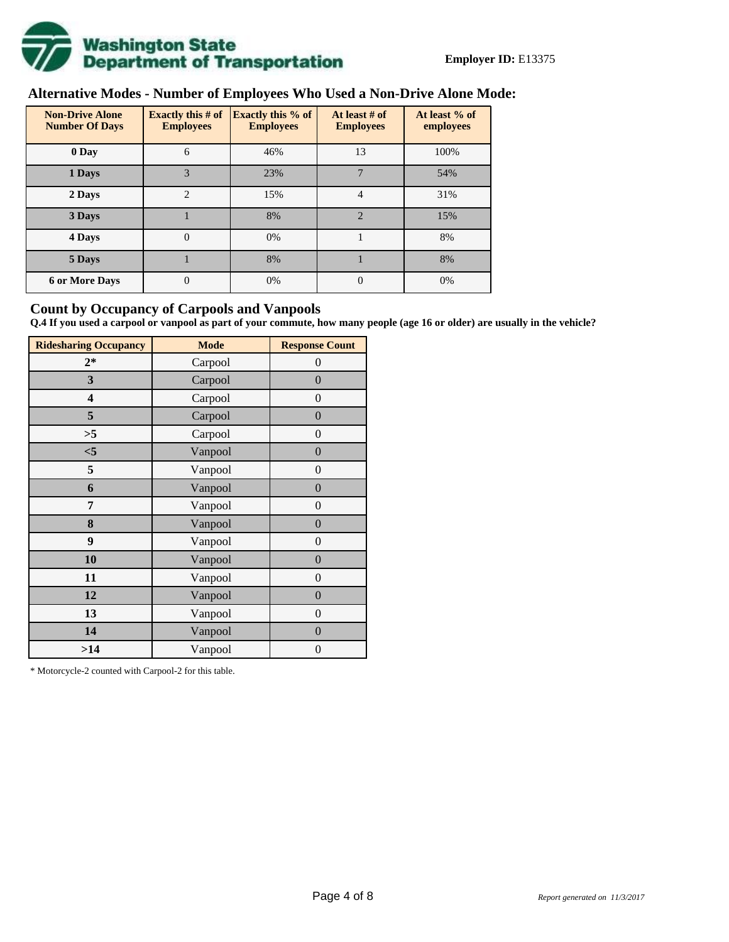

# **Alternative Modes - Number of Employees Who Used a Non-Drive Alone Mode:**

| <b>Non-Drive Alone</b><br><b>Number Of Days</b> | Exactly this $#$ of<br><b>Employees</b> | <b>Exactly this % of</b><br><b>Employees</b> | At least # of<br><b>Employees</b> | At least % of<br>employees |  |  |
|-------------------------------------------------|-----------------------------------------|----------------------------------------------|-----------------------------------|----------------------------|--|--|
| 0 Day                                           | 6                                       | 46%                                          | 13                                | 100%                       |  |  |
| 1 Days                                          | 3                                       | 23%                                          | 7                                 | 54%                        |  |  |
| 2 Days                                          | $\overline{2}$                          | 15%                                          | 4                                 | 31%                        |  |  |
| 3 Days                                          |                                         | 8%                                           | $\mathfrak{D}$                    | 15%                        |  |  |
| 4 Days                                          | $\theta$                                | 0%                                           |                                   | 8%                         |  |  |
| 5 Days                                          |                                         | 8%                                           |                                   | 8%                         |  |  |
| <b>6 or More Days</b>                           | 0                                       | 0%                                           | $\Omega$                          | 0%                         |  |  |

## **Count by Occupancy of Carpools and Vanpools**

**Q.4 If you used a carpool or vanpool as part of your commute, how many people (age 16 or older) are usually in the vehicle?**

| <b>Ridesharing Occupancy</b> | <b>Mode</b> | <b>Response Count</b> |
|------------------------------|-------------|-----------------------|
| $2*$                         | Carpool     | 0                     |
| 3                            | Carpool     | $\overline{0}$        |
| 4                            | Carpool     | $\boldsymbol{0}$      |
| 5                            | Carpool     | $\boldsymbol{0}$      |
| >5                           | Carpool     | $\overline{0}$        |
| $<$ 5                        | Vanpool     | $\overline{0}$        |
| 5                            | Vanpool     | $\overline{0}$        |
| 6                            | Vanpool     | $\boldsymbol{0}$      |
| 7                            | Vanpool     | $\overline{0}$        |
| 8                            | Vanpool     | $\boldsymbol{0}$      |
| 9                            | Vanpool     | $\overline{0}$        |
| 10                           | Vanpool     | $\overline{0}$        |
| 11                           | Vanpool     | $\boldsymbol{0}$      |
| 12                           | Vanpool     | $\boldsymbol{0}$      |
| 13                           | Vanpool     | $\boldsymbol{0}$      |
| 14                           | Vanpool     | $\overline{0}$        |
| >14                          | Vanpool     | $\boldsymbol{0}$      |

\* Motorcycle-2 counted with Carpool-2 for this table.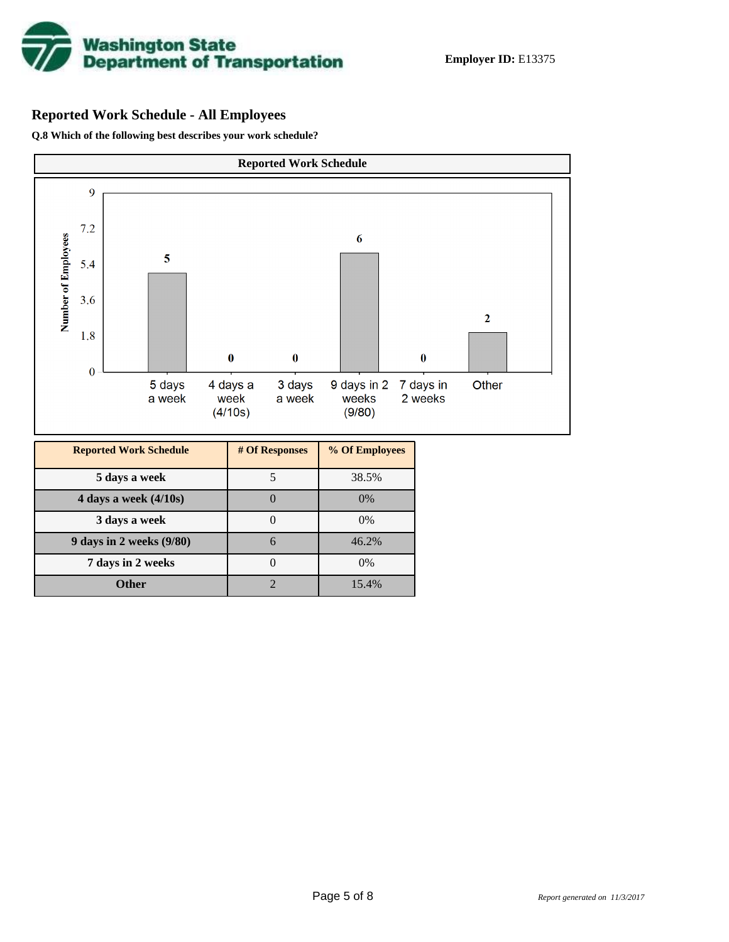

# **Reported Work Schedule - All Employees**

**Q.8 Which of the following best describes your work schedule?**

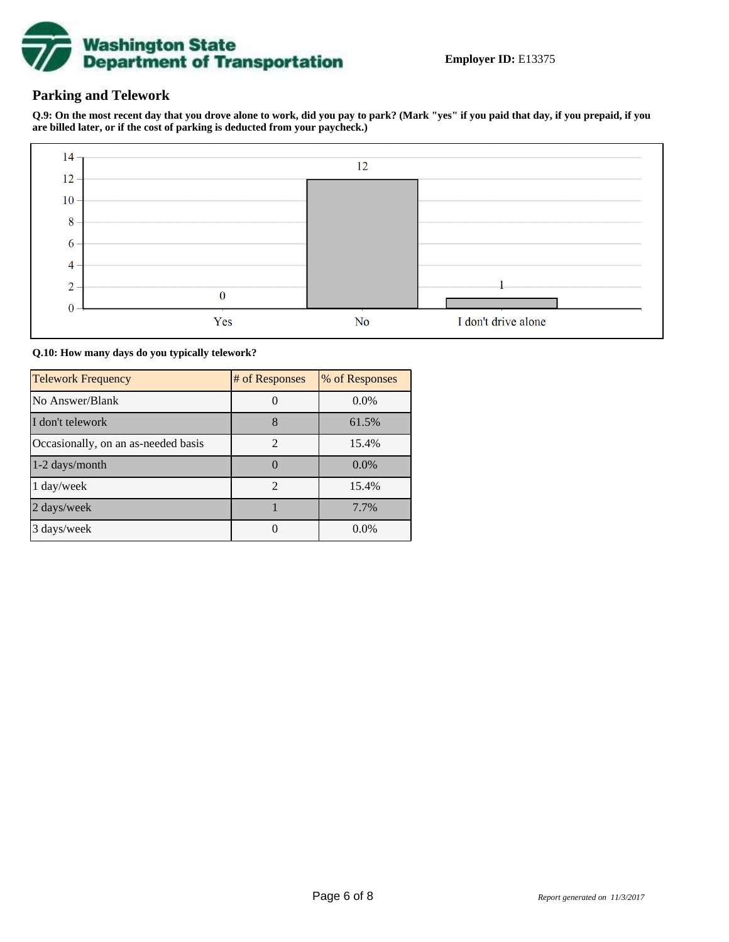

## **Parking and Telework**

**Q.9: On the most recent day that you drove alone to work, did you pay to park? (Mark "yes" if you paid that day, if you prepaid, if you are billed later, or if the cost of parking is deducted from your paycheck.)**



**Q.10: How many days do you typically telework?**

| <b>Telework Frequency</b>           | # of Responses | % of Responses |
|-------------------------------------|----------------|----------------|
| No Answer/Blank                     |                | $0.0\%$        |
| I don't telework                    | 8              | 61.5%          |
| Occasionally, on an as-needed basis | $\mathfrak{D}$ | 15.4%          |
| 1-2 days/month                      |                | $0.0\%$        |
| 1 day/week                          | $\overline{2}$ | 15.4%          |
| 2 days/week                         |                | 7.7%           |
| 3 days/week                         |                | $0.0\%$        |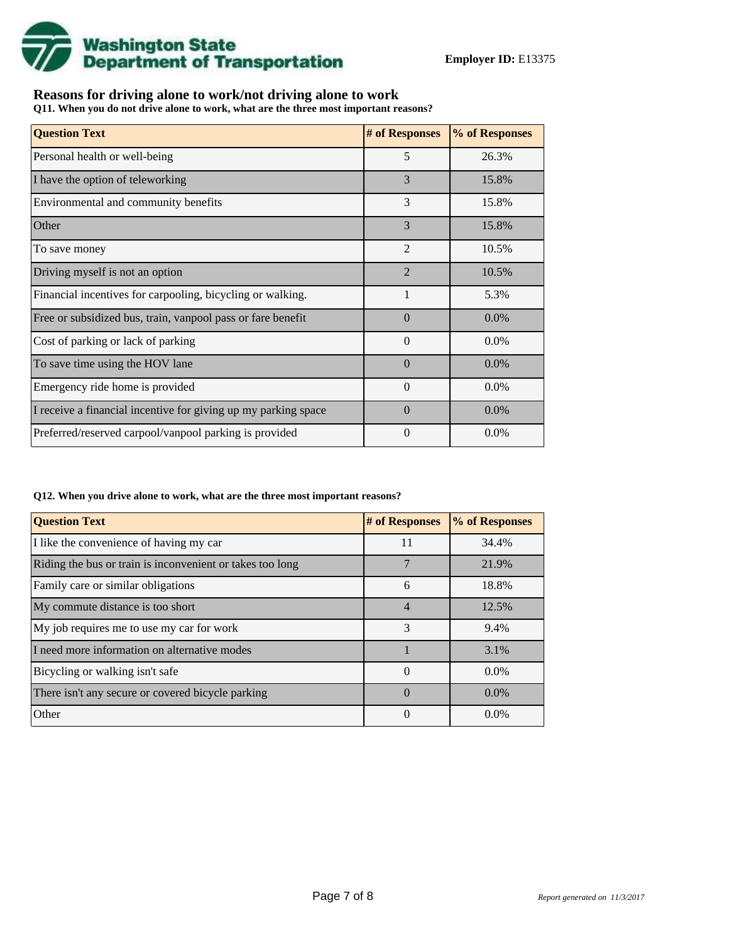

## **Reasons for driving alone to work/not driving alone to work**

**Q11. When you do not drive alone to work, what are the three most important reasons?**

| <b>Question Text</b>                                           | # of Responses | % of Responses |
|----------------------------------------------------------------|----------------|----------------|
| Personal health or well-being                                  | 5              | 26.3%          |
| I have the option of teleworking                               | 3              | 15.8%          |
| Environmental and community benefits                           | 3              | 15.8%          |
| Other                                                          | 3              | 15.8%          |
| To save money                                                  | $\overline{2}$ | 10.5%          |
| Driving myself is not an option                                | $\overline{2}$ | 10.5%          |
| Financial incentives for carpooling, bicycling or walking.     | 1              | 5.3%           |
| Free or subsidized bus, train, vanpool pass or fare benefit    | $\Omega$       | $0.0\%$        |
| Cost of parking or lack of parking                             | $\Omega$       | 0.0%           |
| To save time using the HOV lane                                | $\Omega$       | $0.0\%$        |
| Emergency ride home is provided                                | $\theta$       | $0.0\%$        |
| I receive a financial incentive for giving up my parking space | $\Omega$       | $0.0\%$        |
| Preferred/reserved carpool/vanpool parking is provided         | $\Omega$       | $0.0\%$        |

#### **Q12. When you drive alone to work, what are the three most important reasons?**

| <b>Question Text</b>                                      | # of Responses | % of Responses |
|-----------------------------------------------------------|----------------|----------------|
| I like the convenience of having my car                   | 11             | 34.4%          |
| Riding the bus or train is inconvenient or takes too long |                | 21.9%          |
| Family care or similar obligations                        | 6              | 18.8%          |
| My commute distance is too short                          | $\overline{4}$ | 12.5%          |
| My job requires me to use my car for work                 | 3              | 9.4%           |
| I need more information on alternative modes              |                | 3.1%           |
| Bicycling or walking isn't safe                           | $\theta$       | $0.0\%$        |
| There isn't any secure or covered bicycle parking         | $\Omega$       | $0.0\%$        |
| Other                                                     | $\theta$       | $0.0\%$        |